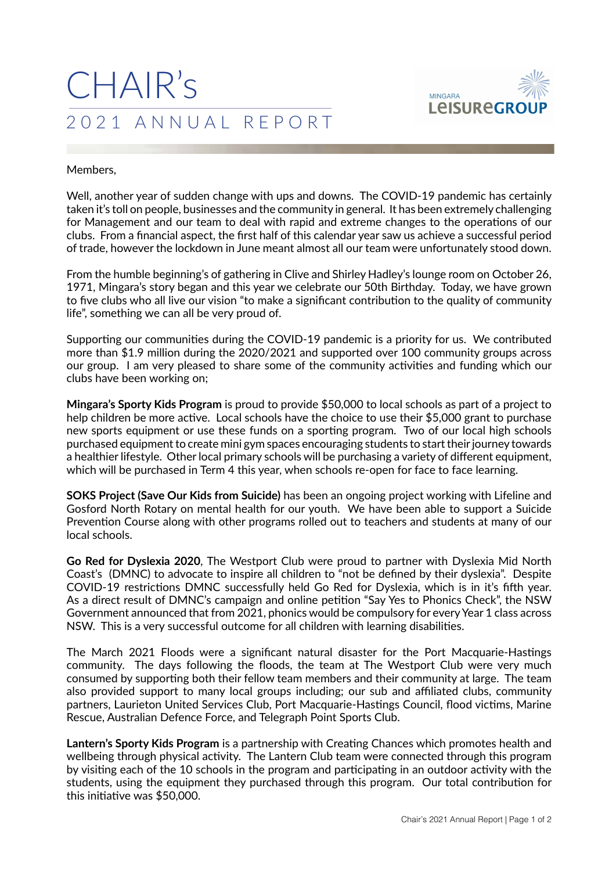## CHAIR's 2021 ANNUAL REPORT



## Members,

Well, another year of sudden change with ups and downs. The COVID-19 pandemic has certainly taken it's toll on people, businesses and the community in general. It has been extremely challenging for Management and our team to deal with rapid and extreme changes to the operations of our clubs. From a financial aspect, the first half of this calendar year saw us achieve a successful period of trade, however the lockdown in June meant almost all our team were unfortunately stood down.

From the humble beginning's of gathering in Clive and Shirley Hadley's lounge room on October 26, 1971, Mingara's story began and this year we celebrate our 50th Birthday. Today, we have grown to five clubs who all live our vision "to make a significant contribution to the quality of community life", something we can all be very proud of.

Supporting our communities during the COVID-19 pandemic is a priority for us. We contributed more than \$1.9 million during the 2020/2021 and supported over 100 community groups across our group. I am very pleased to share some of the community activities and funding which our clubs have been working on;

**Mingara's Sporty Kids Program** is proud to provide \$50,000 to local schools as part of a project to help children be more active. Local schools have the choice to use their \$5,000 grant to purchase new sports equipment or use these funds on a sporting program. Two of our local high schools purchased equipment to create mini gym spaces encouraging students to start their journey towards a healthier lifestyle. Other local primary schools will be purchasing a variety of different equipment, which will be purchased in Term 4 this year, when schools re-open for face to face learning.

**SOKS Project (Save Our Kids from Suicide)** has been an ongoing project working with Lifeline and Gosford North Rotary on mental health for our youth. We have been able to support a Suicide Prevention Course along with other programs rolled out to teachers and students at many of our local schools.

**Go Red for Dyslexia 2020**, The Westport Club were proud to partner with Dyslexia Mid North Coast's (DMNC) to advocate to inspire all children to "not be defined by their dyslexia". Despite COVID-19 restrictions DMNC successfully held Go Red for Dyslexia, which is in it's fifth year. As a direct result of DMNC's campaign and online petition "Say Yes to Phonics Check", the NSW Government announced that from 2021, phonics would be compulsory for every Year 1 class across NSW. This is a very successful outcome for all children with learning disabilities.

The March 2021 Floods were a significant natural disaster for the Port Macquarie-Hastings community. The days following the floods, the team at The Westport Club were very much consumed by supporting both their fellow team members and their community at large. The team also provided support to many local groups including; our sub and affiliated clubs, community partners, Laurieton United Services Club, Port Macquarie-Hastings Council, flood victims, Marine Rescue, Australian Defence Force, and Telegraph Point Sports Club.

**Lantern's Sporty Kids Program** is a partnership with Creating Chances which promotes health and wellbeing through physical activity. The Lantern Club team were connected through this program by visiting each of the 10 schools in the program and participating in an outdoor activity with the students, using the equipment they purchased through this program. Our total contribution for this initiative was \$50,000.